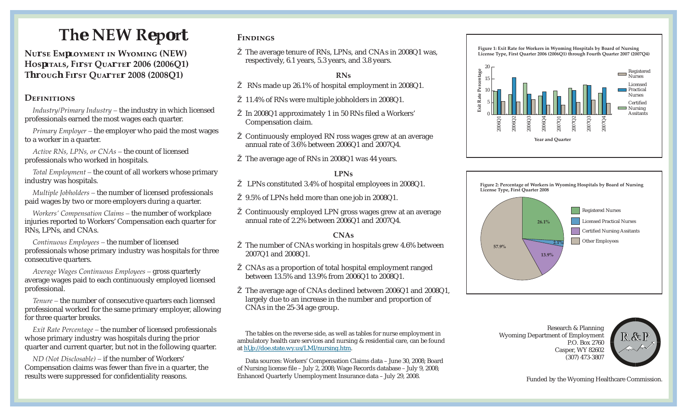# **Th <sup>e</sup> NEW R <sup>e</sup>p or t**

**Nu rse Employment in Wyoming (NEW) Hos pitals, Fi <sup>r</sup>st Qua rte <sup>r</sup> 2006 (2006Q1) Through Fi<sup>r</sup>st Qua rter 2008 (2008Q1)**

## **Definitions**

*Industry/Primary Industry –* the industry in which licensed professionals earned the most wages each quarter.

*Primary Employer –* the employer who paid the most wages to a worker in a quarter.

*Active RNs, LPNs, or CNAs –* the count of licensed professionals who worked in hospitals.

*Total Employment –* the count of all workers whose primary industry was hospitals.

*Multiple Jobholders –* the number of licensed professionals paid wages by two or more employers during a quarter.

*Workers' Compensation Claims –* the number of workplace injuries reported to Workers' Compensation each quarter for RNs, LPNs, and CNAs.

*Continuous Employees –* the number of licensed professionals whose primary industry was hospitals for three consecutive quarters.

*Average Wages Continuous Employees –* gross quarterly average wages paid to each continuously employed licensed professional.

*Tenure –* the number of consecutive quarters each licensed professional worked for the same primary employer, allowing for three quarter breaks.

*Exit Rate Percentage –* the number of licensed professionals whose primary industry was hospitals during the prior quarter and current quarter, but not in the following quarter.

*ND (Not Disclosable) –* if the number of Workers' Compensation claims was fewer than five in a quarter, the results were suppressed for confidentiality reasons.

### **Findings**

The average tenure of RNs, LPNs, and CNAs in 2008Q1 was, respectively, 6.1 years, 5.3 years, and 3.8 years.

**RNs**

RNs made up 26.1% of hospital employment in 2008Q1.

11.4% of RNs were multiple jobholders in 2008Q1.

In 2008Q1 approximately 1 in 50 RNs filed a Workers' Compensation claim.

Continuously employed RN ross wages grew at an average annual rate of 3.6% between 2006Q1 and 2007Q4.

The average age of RNs in 2008Q1 was 44 years.

### **LPNs**

LPNs constituted 3.4% of hospital employees in 2008Q1.

9.5% of LPNs held more than one job in 2008Q1.

Continuously employed LPN gross wages grew at an average annual rate of 2.2% between 2006Q1 and 2007Q4.

### **CNAs**

The number of CNAs working in hospitals grew 4.6% between 2007Q1 and 2008Q1.

CNAs as a proportion of total hospital employment ranged between 13.5% and 13.9% from 2006Q1 to 2008Q1.

The average age of CNAs declined between 2006Q1 and 2008Q1, largely due to an increase in the number and proportion of CNAs in the 25-34 age group.

The tables on the reverse side, as well as tables for nurse employment in ambulatory health care services and nursing & residential care, can be found at <u>ht p://doe.state.wy.us/LMI/nursing.htm</u>.

Data sources: Workers' Compensation Claims data – June 30, 2008; Board of Nursing license file – July 2, 2008; Wage Records database – July 9, 2008; Enhanced Quarterly Unemployment Insurance data – July 29, 2008.







Research & Planning Wyoming Department of Employment P.O. Box 2760Casper, WY 82602 (307) 473-3807



Funded by the Wyoming Healthcare Commission.